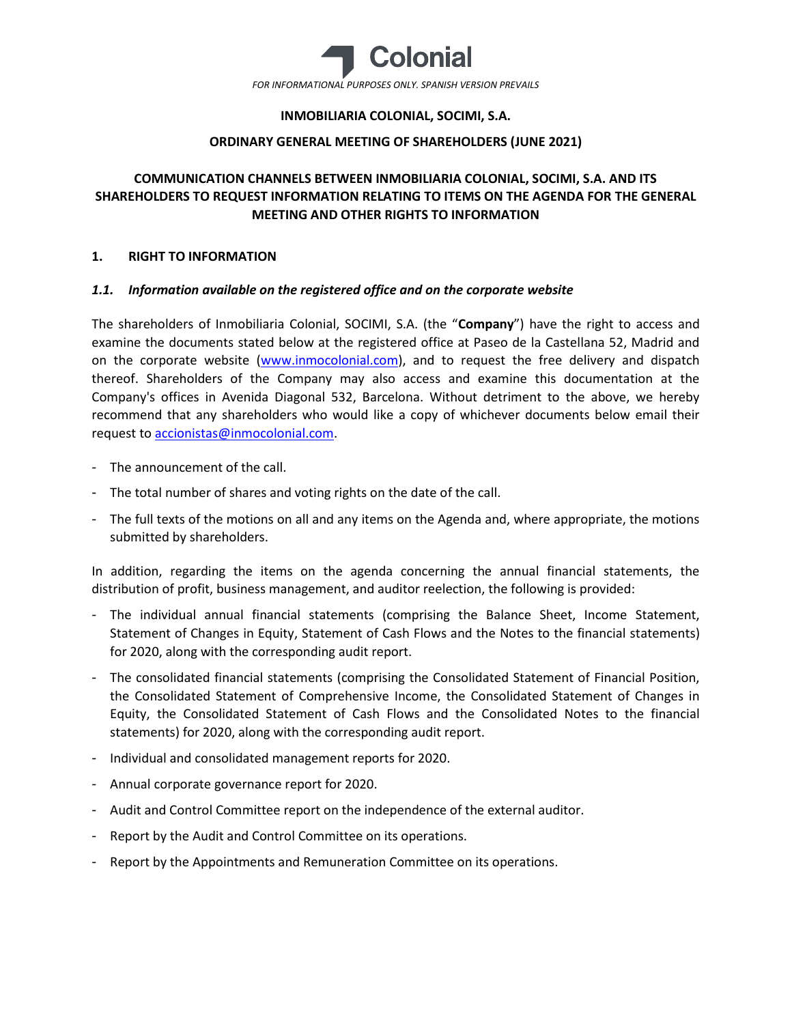

# **INMOBILIARIA COLONIAL, SOCIMI, S.A.**

# **ORDINARY GENERAL MEETING OF SHAREHOLDERS (JUNE 2021)**

# **COMMUNICATION CHANNELS BETWEEN INMOBILIARIA COLONIAL, SOCIMI, S.A. AND ITS SHAREHOLDERS TO REQUEST INFORMATION RELATING TO ITEMS ON THE AGENDA FOR THE GENERAL MEETING AND OTHER RIGHTS TO INFORMATION**

### **1. RIGHT TO INFORMATION**

### *1.1. Information available on the registered office and on the corporate website*

The shareholders of Inmobiliaria Colonial, SOCIMI, S.A. (the "**Company**") have the right to access and examine the documents stated below at the registered office at Paseo de la Castellana 52, Madrid and on the corporate website [\(www.inmocolonial.com\)](http://www.inmocolonial.com/), and to request the free delivery and dispatch thereof. Shareholders of the Company may also access and examine this documentation at the Company's offices in Avenida Diagonal 532, Barcelona. Without detriment to the above, we hereby recommend that any shareholders who would like a copy of whichever documents below email their request t[o accionistas@inmocolonial.com.](mailto:accionistas@inmocolonial.com)

- The announcement of the call.
- The total number of shares and voting rights on the date of the call.
- The full texts of the motions on all and any items on the Agenda and, where appropriate, the motions submitted by shareholders.

In addition, regarding the items on the agenda concerning the annual financial statements, the distribution of profit, business management, and auditor reelection, the following is provided:

- The individual annual financial statements (comprising the Balance Sheet, Income Statement, Statement of Changes in Equity, Statement of Cash Flows and the Notes to the financial statements) for 2020, along with the corresponding audit report.
- The consolidated financial statements (comprising the Consolidated Statement of Financial Position, the Consolidated Statement of Comprehensive Income, the Consolidated Statement of Changes in Equity, the Consolidated Statement of Cash Flows and the Consolidated Notes to the financial statements) for 2020, along with the corresponding audit report.
- Individual and consolidated management reports for 2020.
- Annual corporate governance report for 2020.
- Audit and Control Committee report on the independence of the external auditor.
- Report by the Audit and Control Committee on its operations.
- Report by the Appointments and Remuneration Committee on its operations.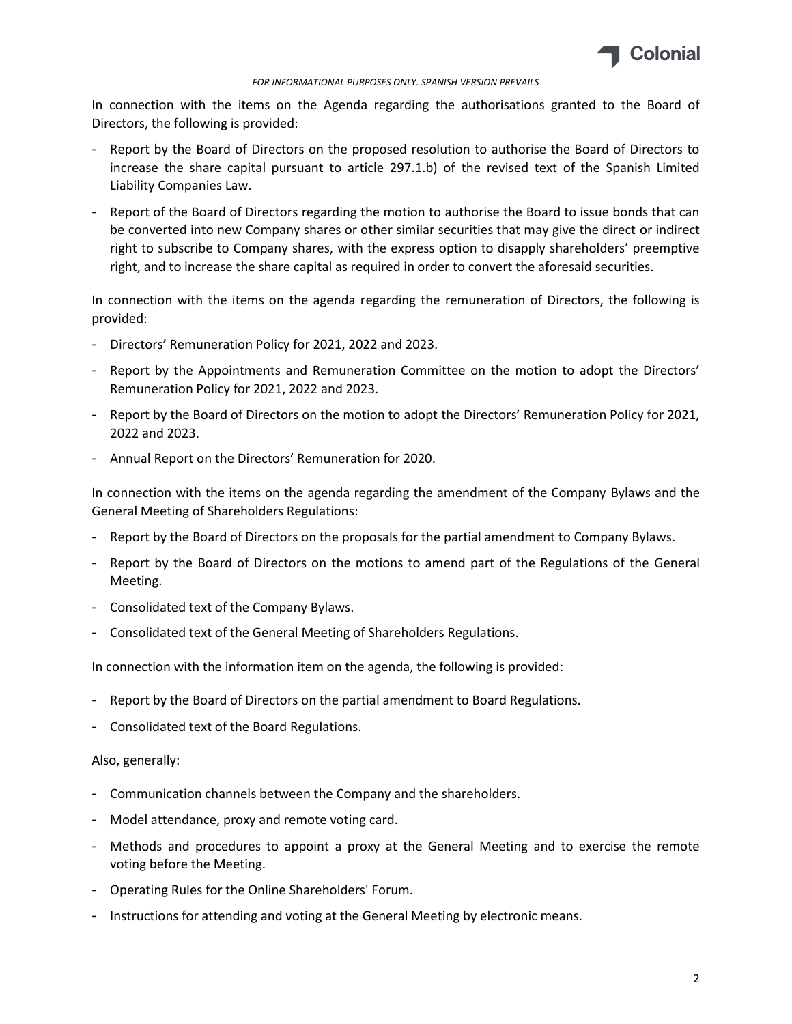

#### *FOR INFORMATIONAL PURPOSES ONLY. SPANISH VERSION PREVAILS*

In connection with the items on the Agenda regarding the authorisations granted to the Board of Directors, the following is provided:

- Report by the Board of Directors on the proposed resolution to authorise the Board of Directors to increase the share capital pursuant to article 297.1.b) of the revised text of the Spanish Limited Liability Companies Law.
- Report of the Board of Directors regarding the motion to authorise the Board to issue bonds that can be converted into new Company shares or other similar securities that may give the direct or indirect right to subscribe to Company shares, with the express option to disapply shareholders' preemptive right, and to increase the share capital as required in order to convert the aforesaid securities.

In connection with the items on the agenda regarding the remuneration of Directors, the following is provided:

- Directors' Remuneration Policy for 2021, 2022 and 2023.
- Report by the Appointments and Remuneration Committee on the motion to adopt the Directors' Remuneration Policy for 2021, 2022 and 2023.
- Report by the Board of Directors on the motion to adopt the Directors' Remuneration Policy for 2021, 2022 and 2023.
- Annual Report on the Directors' Remuneration for 2020.

In connection with the items on the agenda regarding the amendment of the Company Bylaws and the General Meeting of Shareholders Regulations:

- Report by the Board of Directors on the proposals for the partial amendment to Company Bylaws.
- Report by the Board of Directors on the motions to amend part of the Regulations of the General Meeting.
- Consolidated text of the Company Bylaws.
- Consolidated text of the General Meeting of Shareholders Regulations.

In connection with the information item on the agenda, the following is provided:

- Report by the Board of Directors on the partial amendment to Board Regulations.
- Consolidated text of the Board Regulations.

#### Also, generally:

- Communication channels between the Company and the shareholders.
- Model attendance, proxy and remote voting card.
- Methods and procedures to appoint a proxy at the General Meeting and to exercise the remote voting before the Meeting.
- Operating Rules for the Online Shareholders' Forum.
- Instructions for attending and voting at the General Meeting by electronic means.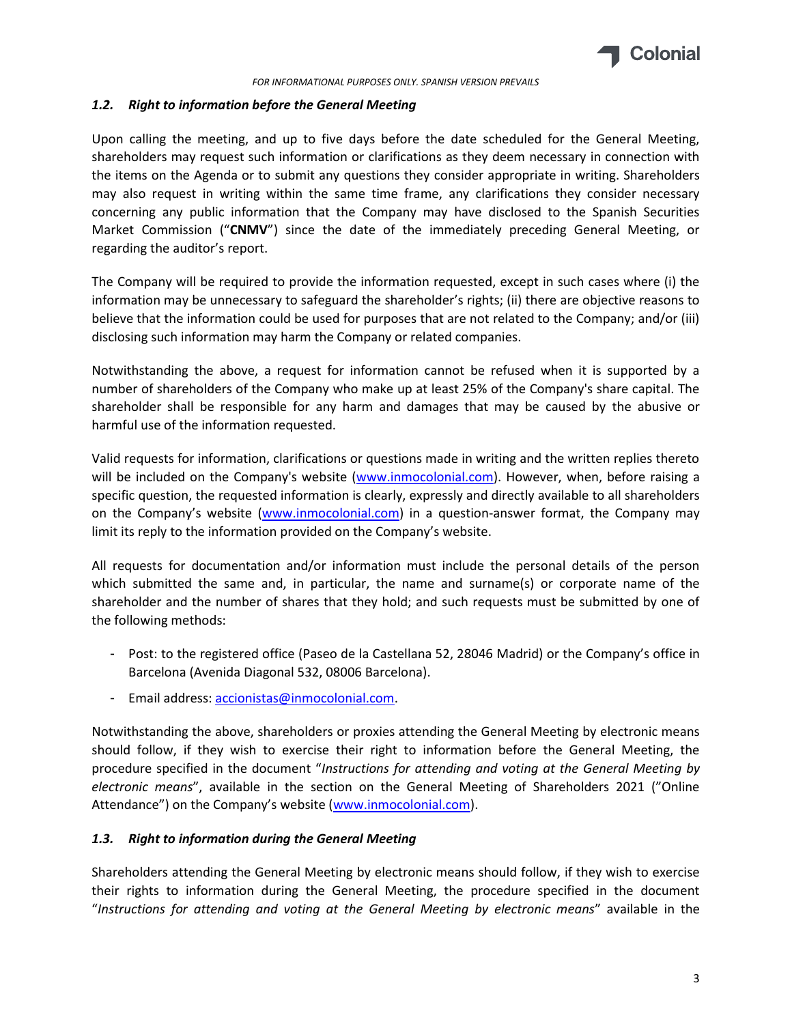

#### *1.2. Right to information before the General Meeting*

Upon calling the meeting, and up to five days before the date scheduled for the General Meeting, shareholders may request such information or clarifications as they deem necessary in connection with the items on the Agenda or to submit any questions they consider appropriate in writing. Shareholders may also request in writing within the same time frame, any clarifications they consider necessary concerning any public information that the Company may have disclosed to the Spanish Securities Market Commission ("**CNMV**") since the date of the immediately preceding General Meeting, or regarding the auditor's report.

The Company will be required to provide the information requested, except in such cases where (i) the information may be unnecessary to safeguard the shareholder's rights; (ii) there are objective reasons to believe that the information could be used for purposes that are not related to the Company; and/or (iii) disclosing such information may harm the Company or related companies.

Notwithstanding the above, a request for information cannot be refused when it is supported by a number of shareholders of the Company who make up at least 25% of the Company's share capital. The shareholder shall be responsible for any harm and damages that may be caused by the abusive or harmful use of the information requested.

Valid requests for information, clarifications or questions made in writing and the written replies thereto will be included on the Company's website [\(www.inmocolonial.com\)](http://www.inmocolonial.com/). However, when, before raising a specific question, the requested information is clearly, expressly and directly available to all shareholders on the Company's website ([www.inmocolonial.com\)](http://www.inmocolonial.com/) in a question-answer format, the Company may limit its reply to the information provided on the Company's website.

All requests for documentation and/or information must include the personal details of the person which submitted the same and, in particular, the name and surname(s) or corporate name of the shareholder and the number of shares that they hold; and such requests must be submitted by one of the following methods:

- Post: to the registered office (Paseo de la Castellana 52, 28046 Madrid) or the Company's office in Barcelona (Avenida Diagonal 532, 08006 Barcelona).
- Email address[: accionistas@inmocolonial.com.](mailto:accionistas@inmocolonial.com)

Notwithstanding the above, shareholders or proxies attending the General Meeting by electronic means should follow, if they wish to exercise their right to information before the General Meeting, the procedure specified in the document "*Instructions for attending and voting at the General Meeting by electronic means*", available in the section on the General Meeting of Shareholders 2021 ("Online Attendance") on the Company's website ([www.inmocolonial.com\)](http://www.inmocolonial.com/).

# *1.3. Right to information during the General Meeting*

Shareholders attending the General Meeting by electronic means should follow, if they wish to exercise their rights to information during the General Meeting, the procedure specified in the document "*Instructions for attending and voting at the General Meeting by electronic means*" available in the